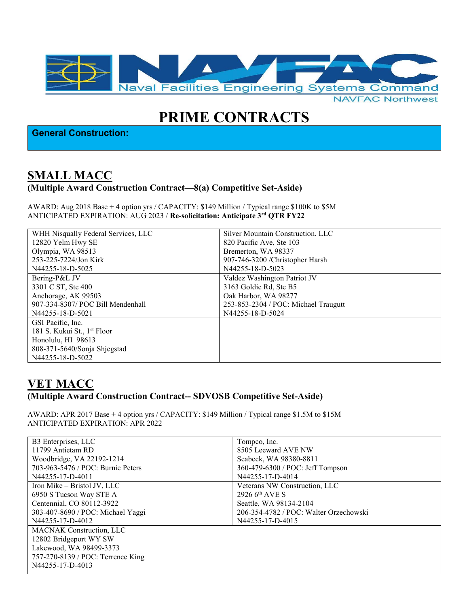

# PRIME CONTRACTS

General Construction:

## SMALL MACC

#### (Multiple Award Construction Contract—8(a) Competitive Set-Aside)

AWARD: Aug 2018 Base + 4 option yrs / CAPACITY: \$149 Million / Typical range \$100K to \$5M ANTICIPATED EXPIRATION: AUG 2023 / Re-solicitation: Anticipate 3rd QTR FY22

| WHH Nisqually Federal Services, LLC     | Silver Mountain Construction, LLC    |
|-----------------------------------------|--------------------------------------|
| 12820 Yelm Hwy SE                       | 820 Pacific Ave, Ste 103             |
| Olympia, WA 98513                       | Bremerton, WA 98337                  |
| 253-225-7224/Jon Kirk                   | 907-746-3200 / Christopher Harsh     |
| N44255-18-D-5025                        | N44255-18-D-5023                     |
| Bering-P&L JV                           | Valdez Washington Patriot JV         |
| 3301 C ST, Ste 400                      | 3163 Goldie Rd, Ste B5               |
| Anchorage, AK 99503                     | Oak Harbor, WA 98277                 |
| 907-334-8307/ POC Bill Mendenhall       | 253-853-2304 / POC: Michael Traugutt |
| N44255-18-D-5021                        | N44255-18-D-5024                     |
| GSI Pacific, Inc.                       |                                      |
| 181 S. Kukui St., 1 <sup>st</sup> Floor |                                      |
| Honolulu, HI 98613                      |                                      |
| 808-371-5640/Sonja Shjegstad            |                                      |
| N44255-18-D-5022                        |                                      |

#### VET MACC (Multiple Award Construction Contract-- SDVOSB Competitive Set-Aside)

AWARD: APR 2017 Base + 4 option yrs / CAPACITY: \$149 Million / Typical range \$1.5M to \$15M ANTICIPATED EXPIRATION: APR 2022

| B3 Enterprises, LLC               | Tompco, Inc.                           |
|-----------------------------------|----------------------------------------|
| 11799 Antietam RD                 | 8505 Leeward AVE NW                    |
| Woodbridge, VA 22192-1214         | Seabeck, WA 98380-8811                 |
| 703-963-5476 / POC: Burnie Peters | 360-479-6300 / POC: Jeff Tompson       |
| N44255-17-D-4011                  | N44255-17-D-4014                       |
| Iron Mike – Bristol JV, LLC       | Veterans NW Construction, LLC          |
| 6950 S Tucson Way STE A           | 2926.6 <sup>th</sup> AVE S             |
| Centennial, CO 80112-3922         | Seattle, WA 98134-2104                 |
| 303-407-8690 / POC: Michael Yaggi | 206-354-4782 / POC: Walter Orzechowski |
| N44255-17-D-4012                  | N44255-17-D-4015                       |
| MACNAK Construction, LLC          |                                        |
| 12802 Bridgeport WY SW            |                                        |
| Lakewood, WA 98499-3373           |                                        |
| 757-270-8139 / POC: Terrence King |                                        |
| N44255-17-D-4013                  |                                        |
|                                   |                                        |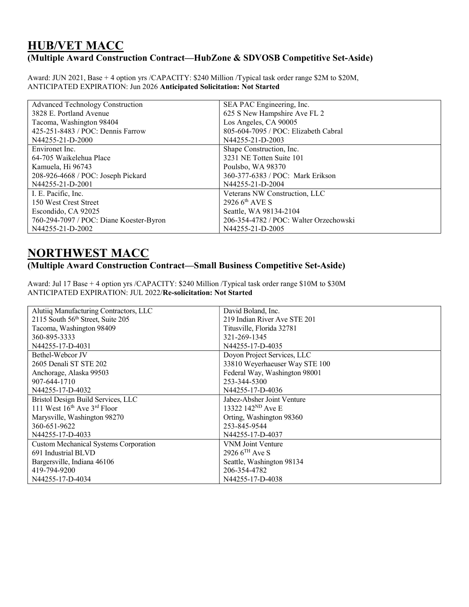### HUB/VET MACC (Multiple Award Construction Contract—HubZone & SDVOSB Competitive Set-Aside)

Award: JUN 2021, Base + 4 option yrs /CAPACITY: \$240 Million /Typical task order range \$2M to \$20M, ANTICIPATED EXPIRATION: Jun 2026 Anticipated Solicitation: Not Started

| <b>Advanced Technology Construction</b> | SEA PAC Engineering, Inc.              |
|-----------------------------------------|----------------------------------------|
| 3828 E. Portland Avenue                 | 625 S New Hampshire Ave FL 2           |
| Tacoma, Washington 98404                | Los Angeles, CA 90005                  |
| 425-251-8483 / POC: Dennis Farrow       | 805-604-7095 / POC: Elizabeth Cabral   |
| N44255-21-D-2000                        | N44255-21-D-2003                       |
| Environet Inc.                          | Shape Construction, Inc.               |
| 64-705 Waikelehua Place                 | 3231 NE Totten Suite 101               |
| Kamuela, Hi 96743                       | Poulsbo, WA 98370                      |
| 208-926-4668 / POC: Joseph Pickard      | 360-377-6383 / POC: Mark Erikson       |
| N44255-21-D-2001                        | N44255-21-D-2004                       |
| I. E. Pacific, Inc.                     | Veterans NW Construction, LLC          |
| 150 West Crest Street                   | 2926 $6th$ AVE S                       |
| Escondido, CA 92025                     | Seattle, WA 98134-2104                 |
| 760-294-7097 / POC: Diane Koester-Byron | 206-354-4782 / POC: Walter Orzechowski |
| N44255-21-D-2002                        | N44255-21-D-2005                       |

## NORTHWEST MACC

#### (Multiple Award Construction Contract—Small Business Competitive Set-Aside)

Award: Jul 17 Base + 4 option yrs /CAPACITY: \$240 Million /Typical task order range \$10M to \$30M ANTICIPATED EXPIRATION: JUL 2022/Re-solicitation: Not Started

| Alutiiq Manufacturing Contractors, LLC        | David Boland, Inc.             |
|-----------------------------------------------|--------------------------------|
| 2115 South 56 <sup>th</sup> Street, Suite 205 | 219 Indian River Ave STE 201   |
|                                               |                                |
| Tacoma, Washington 98409                      | Titusville, Florida 32781      |
| 360-895-3333                                  | 321-269-1345                   |
| N44255-17-D-4031                              | N44255-17-D-4035               |
| Bethel-Webcor JV                              | Doyon Project Services, LLC    |
| 2605 Denali ST STE 202                        | 33810 Weyerhaeuser Way STE 100 |
| Anchorage, Alaska 99503                       | Federal Way, Washington 98001  |
| 907-644-1710                                  | 253-344-5300                   |
| N44255-17-D-4032                              | N44255-17-D-4036               |
| Bristol Design Build Services, LLC            | Jabez-Absher Joint Venture     |
| 111 West $16^{th}$ Ave $3^{rd}$ Floor         | 13322.142 <sup>ND</sup> Ave E  |
| Marysville, Washington 98270                  | Orting, Washington 98360       |
| 360-651-9622                                  | 253-845-9544                   |
| N44255-17-D-4033                              | N44255-17-D-4037               |
| <b>Custom Mechanical Systems Corporation</b>  | <b>VNM Joint Venture</b>       |
| 691 Industrial BLVD                           | 2926 $6TH$ Ave S               |
| Bargersville, Indiana 46106                   | Seattle, Washington 98134      |
| 419-794-9200                                  | 206-354-4782                   |
| N44255-17-D-4034                              | N44255-17-D-4038               |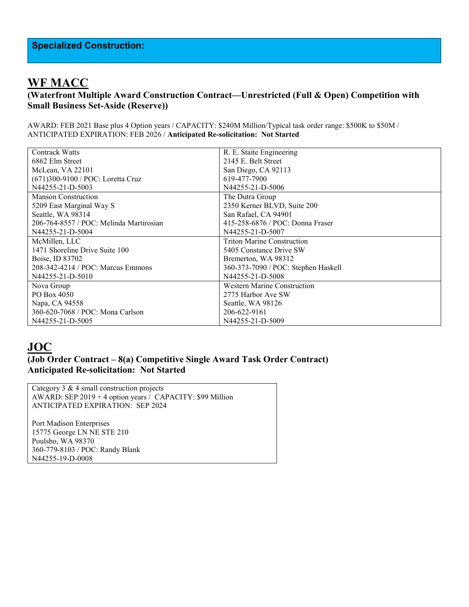### WF MACC

#### (Waterfront Multiple Award Construction Contract—Unrestricted (Full & Open) Competition with Small Business Set-Aside (Reserve))

AWARD: FEB 2021 Base plus 4 Option years / CAPACITY: \$240M Million/Typical task order range: \$500K to \$50M / ANTICIPATED EXPIRATION: FEB 2026 / Anticipated Re-solicitation: Not Started

| <b>Contrack Watts</b>                   | R. E. Staite Engineering            |
|-----------------------------------------|-------------------------------------|
| 6862 Elm Street                         | 2145 E. Belt Street                 |
| McLean, VA 22101                        | San Diego, CA 92113                 |
| (671)300-9100 / POC: Loretta Cruz       | 619-477-7900                        |
| N44255-21-D-5003                        | N44255-21-D-5006                    |
| Manson Construction                     | The Dutra Group                     |
| 5209 East Marginal Way S                | 2350 Kerner BLVD, Suite 200         |
| Seattle, WA 98314                       | San Rafael, CA 94901                |
| 206-764-8557 / POC: Melinda Martirosian | 415-258-6876 / POC: Donna Fraser    |
| N44255-21-D-5004                        | N44255-21-D-5007                    |
| McMillen, LLC                           | <b>Triton Marine Construction</b>   |
| 1471 Shoreline Drive Suite 100          | 5405 Constance Drive SW             |
| Boise, ID 83702                         | Bremerton, WA 98312                 |
| 208-342-4214 / POC: Marcus Emmons       | 360-373-7090 / POC: Stephen Haskell |
| N44255-21-D-5010                        | N44255-21-D-5008                    |
| Nova Group                              | <b>Western Marine Construction</b>  |
| PO Box 4050                             | 2775 Harbor Ave SW                  |
| Napa, CA 94558                          | Seattle, WA 98126                   |
| 360-620-7068 / POC: Mona Carlson        | 206-622-9161                        |
| N44255-21-D-5005                        | N44255-21-D-5009                    |

## JOC

#### (Job Order Contract – 8(a) Competitive Single Award Task Order Contract) Anticipated Re-solicitation: Not Started

Category 3 & 4 small construction projects AWARD: SEP 2019 + 4 option years / CAPACITY: \$99 Million ANTICIPATED EXPIRATION: SEP 2024

Port Madison Enterprises 15775 George LN NE STE 210 Poulsbo, WA 98370 360-779-8103 / POC: Randy Blank N44255-19-D-0008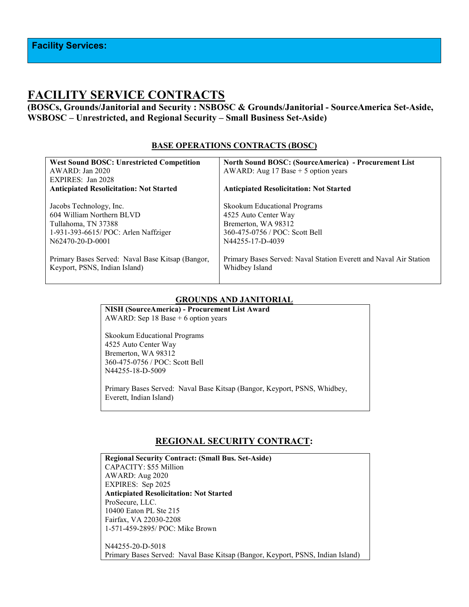### FACILITY SERVICE CONTRACTS

(BOSCs, Grounds/Janitorial and Security : NSBOSC & Grounds/Janitorial - SourceAmerica Set-Aside, WSBOSC – Unrestricted, and Regional Security – Small Business Set-Aside)

#### BASE OPERATIONS CONTRACTS (BOSC)

| <b>North Sound BOSC: (SourceAmerica) - Procurement List</b>       |
|-------------------------------------------------------------------|
| AWARD: Aug 17 Base $+$ 5 option years                             |
|                                                                   |
| <b>Anticpiated Resolicitation: Not Started</b>                    |
|                                                                   |
| Skookum Educational Programs                                      |
| 4525 Auto Center Way                                              |
| Bremerton, WA 98312                                               |
| 360-475-0756 / POC: Scott Bell                                    |
| N44255-17-D-4039                                                  |
|                                                                   |
| Primary Bases Served: Naval Station Everett and Naval Air Station |
| Whidbey Island                                                    |
|                                                                   |

#### GROUNDS AND JANITORIAL

NISH (SourceAmerica) - Procurement List Award AWARD: Sep 18 Base + 6 option years

Skookum Educational Programs 4525 Auto Center Way Bremerton, WA 98312 360-475-0756 / POC: Scott Bell N44255-18-D-5009

Primary Bases Served: Naval Base Kitsap (Bangor, Keyport, PSNS, Whidbey, Everett, Indian Island)

#### REGIONAL SECURITY CONTRACT:

Regional Security Contract: (Small Bus. Set-Aside) CAPACITY: \$55 Million AWARD: Aug 2020 EXPIRES: Sep 2025 Anticpiated Resolicitation: Not Started ProSecure, LLC. 10400 Eaton PL Ste 215 Fairfax, VA 22030-2208 1-571-459-2895/ POC: Mike Brown

N44255-20-D-5018 Primary Bases Served: Naval Base Kitsap (Bangor, Keyport, PSNS, Indian Island)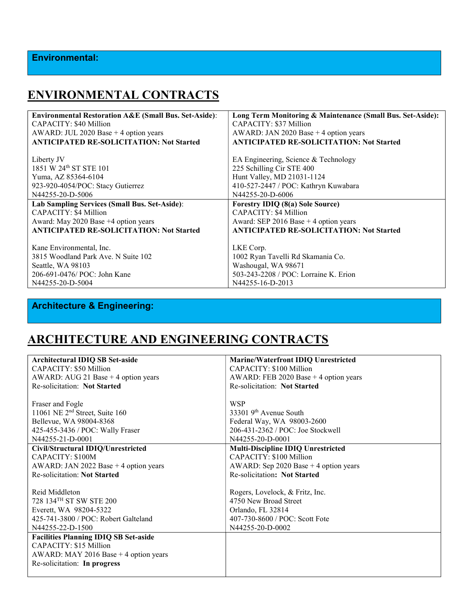# ENVIRONMENTAL CONTRACTS

| <b>Environmental Restoration A&amp;E (Small Bus. Set-Aside):</b> | Long Term Monitoring & Maintenance (Small Bus. Set-Aside): |
|------------------------------------------------------------------|------------------------------------------------------------|
| CAPACITY: \$40 Million                                           | CAPACITY: \$37 Million                                     |
| AWARD: JUL 2020 Base $+$ 4 option years                          | AWARD: JAN 2020 Base $+$ 4 option years                    |
| <b>ANTICIPATED RE-SOLICITATION: Not Started</b>                  | <b>ANTICIPATED RE-SOLICITATION: Not Started</b>            |
|                                                                  |                                                            |
| Liberty JV                                                       | EA Engineering, Science & Technology                       |
| 1851 W 24 <sup>th</sup> ST STE 101                               | 225 Schilling Cir STE 400                                  |
| Yuma, AZ 85364-6104                                              | Hunt Valley, MD 21031-1124                                 |
| 923-920-4054/POC: Stacy Gutierrez                                | 410-527-2447 / POC: Kathryn Kuwabara                       |
| N44255-20-D-5006                                                 | N44255-20-D-6006                                           |
| Lab Sampling Services (Small Bus. Set-Aside):                    | <b>Forestry IDIQ (8(a) Sole Source)</b>                    |
| CAPACITY: \$4 Million                                            | CAPACITY: \$4 Million                                      |
| Award: May 2020 Base +4 option years                             | Award: SEP 2016 Base $+$ 4 option years                    |
| <b>ANTICIPATED RE-SOLICITATION: Not Started</b>                  | <b>ANTICIPATED RE-SOLICITATION: Not Started</b>            |
|                                                                  |                                                            |
| Kane Environmental, Inc.                                         | LKE Corp.                                                  |
| 3815 Woodland Park Ave. N Suite 102                              | 1002 Ryan Tavelli Rd Skamania Co.                          |
| Seattle, WA 98103                                                | Washougal, WA 98671                                        |
| 206-691-0476/ POC: John Kane                                     | 503-243-2208 / POC: Lorraine K. Erion                      |
| N44255-20-D-5004                                                 | N44255-16-D-2013                                           |

## Architecture & Engineering:

# ARCHITECTURE AND ENGINEERING CONTRACTS

| <b>Architectural IDIQ SB Set-aside</b>       | <b>Marine/Waterfront IDIQ Unrestricted</b> |
|----------------------------------------------|--------------------------------------------|
| CAPACITY: \$50 Million                       | CAPACITY: \$100 Million                    |
| AWARD: AUG 21 Base $+$ 4 option years        | AWARD: FEB 2020 Base $+$ 4 option years    |
| Re-solicitation: Not Started                 | Re-solicitation: Not Started               |
|                                              |                                            |
| Fraser and Fogle                             | <b>WSP</b>                                 |
| 11061 NE 2 <sup>nd</sup> Street, Suite 160   | 33301 9 <sup>th</sup> Avenue South         |
| Bellevue, WA 98004-8368                      | Federal Way, WA 98003-2600                 |
| 425-455-3436 / POC: Wally Fraser             | 206-431-2362 / POC: Joe Stockwell          |
| N44255-21-D-0001                             | N44255-20-D-0001                           |
| Civil/Structural IDIQ/Unrestricted           | <b>Multi-Discipline IDIQ Unrestricted</b>  |
| CAPACITY: \$100M                             | CAPACITY: \$100 Million                    |
| AWARD: JAN 2022 Base $+$ 4 option years      | AWARD: Sep 2020 Base $+$ 4 option years    |
| <b>Re-solicitation: Not Started</b>          | Re-solicitation: Not Started               |
|                                              |                                            |
| Reid Middleton                               | Rogers, Lovelock, & Fritz, Inc.            |
| 728 134TH ST SW STE 200                      | 4750 New Broad Street                      |
| Everett, WA 98204-5322                       | Orlando, FL 32814                          |
| 425-741-3800 / POC: Robert Galteland         | 407-730-8600 / POC: Scott Fote             |
| N44255-22-D-1500                             | N44255-20-D-0002                           |
| <b>Facilities Planning IDIQ SB Set-aside</b> |                                            |
| CAPACITY: \$15 Million                       |                                            |
| AWARD: MAY 2016 Base $+$ 4 option years      |                                            |
| Re-solicitation: In progress                 |                                            |
|                                              |                                            |